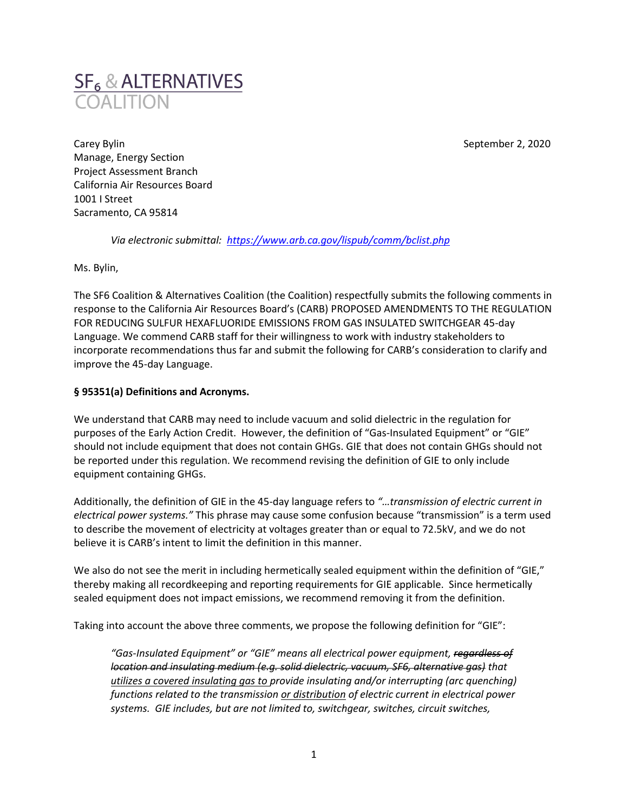

Carey Bylin September 2, 2020 Manage, Energy Section Project Assessment Branch California Air Resources Board 1001 I Street Sacramento, CA 95814

*Via electronic submittal: <https://www.arb.ca.gov/lispub/comm/bclist.php>*

Ms. Bylin,

The SF6 Coalition & Alternatives Coalition (the Coalition) respectfully submits the following comments in response to the California Air Resources Board's (CARB) PROPOSED AMENDMENTS TO THE REGULATION FOR REDUCING SULFUR HEXAFLUORIDE EMISSIONS FROM GAS INSULATED SWITCHGEAR 45-day Language. We commend CARB staff for their willingness to work with industry stakeholders to incorporate recommendations thus far and submit the following for CARB's consideration to clarify and improve the 45-day Language.

# **§ 95351(a) Definitions and Acronyms.**

We understand that CARB may need to include vacuum and solid dielectric in the regulation for purposes of the Early Action Credit. However, the definition of "Gas-Insulated Equipment" or "GIE" should not include equipment that does not contain GHGs. GIE that does not contain GHGs should not be reported under this regulation. We recommend revising the definition of GIE to only include equipment containing GHGs.

Additionally, the definition of GIE in the 45-day language refers to *"…transmission of electric current in electrical power systems."* This phrase may cause some confusion because "transmission" is a term used to describe the movement of electricity at voltages greater than or equal to 72.5kV, and we do not believe it is CARB's intent to limit the definition in this manner.

We also do not see the merit in including hermetically sealed equipment within the definition of "GIE," thereby making all recordkeeping and reporting requirements for GIE applicable. Since hermetically sealed equipment does not impact emissions, we recommend removing it from the definition.

Taking into account the above three comments, we propose the following definition for "GIE":

"Gas-Insulated Equipment" or "GIE" means all electrical power equipment, regardless of *location and insulating medium (e.g. solid dielectric, vacuum, SF6, alternative gas) that utilizes a covered insulating gas to provide insulating and/or interrupting (arc quenching) functions related to the transmission or distribution of electric current in electrical power systems. GIE includes, but are not limited to, switchgear, switches, circuit switches,*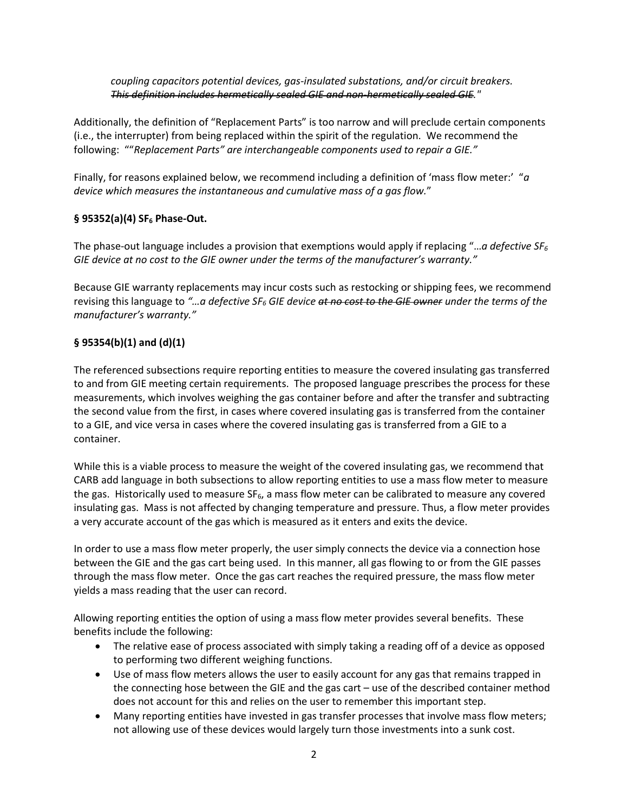### *coupling capacitors potential devices, gas-insulated substations, and/or circuit breakers. This definition includes hermetically sealed GIE and non-hermetically sealed GIE."*

Additionally, the definition of "Replacement Parts" is too narrow and will preclude certain components (i.e., the interrupter) from being replaced within the spirit of the regulation. We recommend the following: ""*Replacement Parts" are interchangeable components used to repair a GIE."*

Finally, for reasons explained below, we recommend including a definition of 'mass flow meter:' "*a device which measures the instantaneous and cumulative mass of a gas flow.*"

## **§ 95352(a)(4) SF<sup>6</sup> Phase-Out.**

The phase-out language includes a provision that exemptions would apply if replacing "…*a defective SF<sup>6</sup> GIE device at no cost to the GIE owner under the terms of the manufacturer's warranty."*

Because GIE warranty replacements may incur costs such as restocking or shipping fees, we recommend revising this language to *"…a defective SF<sup>6</sup> GIE device at no cost to the GIE owner under the terms of the manufacturer's warranty."*

# **§ 95354(b)(1) and (d)(1)**

The referenced subsections require reporting entities to measure the covered insulating gas transferred to and from GIE meeting certain requirements. The proposed language prescribes the process for these measurements, which involves weighing the gas container before and after the transfer and subtracting the second value from the first, in cases where covered insulating gas is transferred from the container to a GIE, and vice versa in cases where the covered insulating gas is transferred from a GIE to a container.

While this is a viable process to measure the weight of the covered insulating gas, we recommend that CARB add language in both subsections to allow reporting entities to use a mass flow meter to measure the gas. Historically used to measure  $SF<sub>6</sub>$ , a mass flow meter can be calibrated to measure any covered insulating gas. Mass is not affected by changing temperature and pressure. Thus, a flow meter provides a very accurate account of the gas which is measured as it enters and exits the device.

In order to use a mass flow meter properly, the user simply connects the device via a connection hose between the GIE and the gas cart being used. In this manner, all gas flowing to or from the GIE passes through the mass flow meter. Once the gas cart reaches the required pressure, the mass flow meter yields a mass reading that the user can record.

Allowing reporting entities the option of using a mass flow meter provides several benefits. These benefits include the following:

- The relative ease of process associated with simply taking a reading off of a device as opposed to performing two different weighing functions.
- Use of mass flow meters allows the user to easily account for any gas that remains trapped in the connecting hose between the GIE and the gas cart – use of the described container method does not account for this and relies on the user to remember this important step.
- Many reporting entities have invested in gas transfer processes that involve mass flow meters; not allowing use of these devices would largely turn those investments into a sunk cost.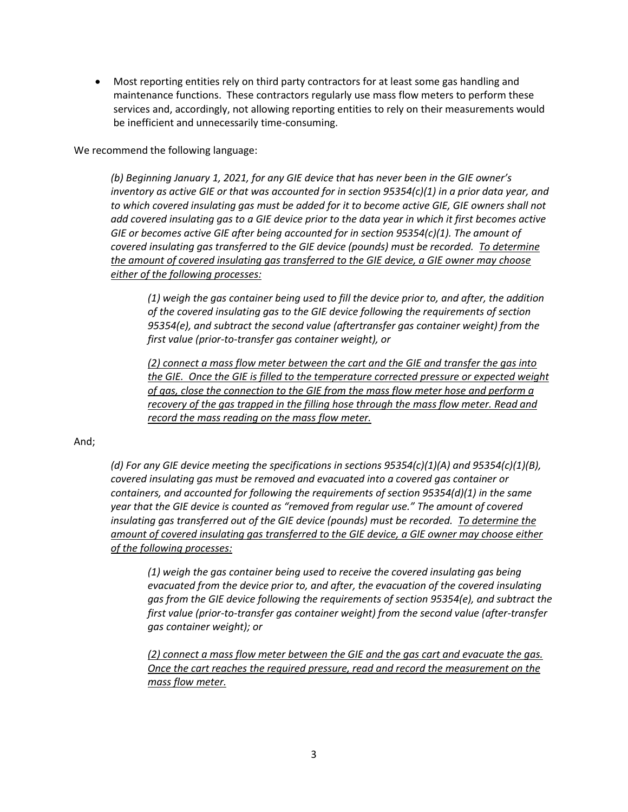• Most reporting entities rely on third party contractors for at least some gas handling and maintenance functions. These contractors regularly use mass flow meters to perform these services and, accordingly, not allowing reporting entities to rely on their measurements would be inefficient and unnecessarily time-consuming.

We recommend the following language:

*(b) Beginning January 1, 2021, for any GIE device that has never been in the GIE owner's inventory as active GIE or that was accounted for in section 95354(c)(1) in a prior data year, and to which covered insulating gas must be added for it to become active GIE, GIE owners shall not add covered insulating gas to a GIE device prior to the data year in which it first becomes active GIE or becomes active GIE after being accounted for in section 95354(c)(1). The amount of covered insulating gas transferred to the GIE device (pounds) must be recorded. To determine the amount of covered insulating gas transferred to the GIE device, a GIE owner may choose either of the following processes:*

*(1) weigh the gas container being used to fill the device prior to, and after, the addition of the covered insulating gas to the GIE device following the requirements of section 95354(e), and subtract the second value (aftertransfer gas container weight) from the first value (prior-to-transfer gas container weight), or*

*(2) connect a mass flow meter between the cart and the GIE and transfer the gas into the GIE. Once the GIE is filled to the temperature corrected pressure or expected weight of gas, close the connection to the GIE from the mass flow meter hose and perform a recovery of the gas trapped in the filling hose through the mass flow meter. Read and record the mass reading on the mass flow meter.*

#### And;

*(d) For any GIE device meeting the specifications in sections 95354(c)(1)(A) and 95354(c)(1)(B), covered insulating gas must be removed and evacuated into a covered gas container or containers, and accounted for following the requirements of section 95354(d)(1) in the same year that the GIE device is counted as "removed from regular use." The amount of covered insulating gas transferred out of the GIE device (pounds) must be recorded. To determine the amount of covered insulating gas transferred to the GIE device, a GIE owner may choose either of the following processes:*

*(1) weigh the gas container being used to receive the covered insulating gas being evacuated from the device prior to, and after, the evacuation of the covered insulating gas from the GIE device following the requirements of section 95354(e), and subtract the first value (prior-to-transfer gas container weight) from the second value (after-transfer gas container weight); or*

*(2) connect a mass flow meter between the GIE and the gas cart and evacuate the gas. Once the cart reaches the required pressure, read and record the measurement on the mass flow meter.*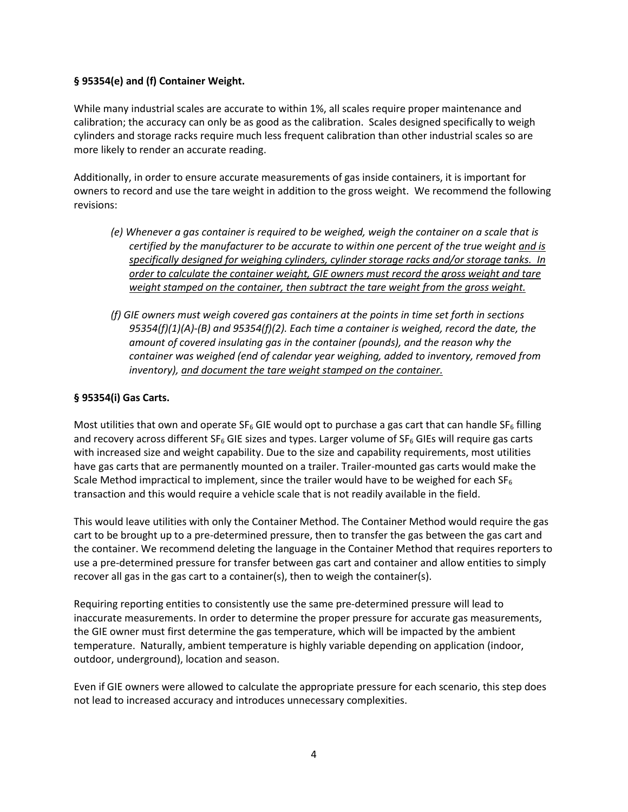### **§ 95354(e) and (f) Container Weight.**

While many industrial scales are accurate to within 1%, all scales require proper maintenance and calibration; the accuracy can only be as good as the calibration. Scales designed specifically to weigh cylinders and storage racks require much less frequent calibration than other industrial scales so are more likely to render an accurate reading.

Additionally, in order to ensure accurate measurements of gas inside containers, it is important for owners to record and use the tare weight in addition to the gross weight. We recommend the following revisions:

- *(e) Whenever a gas container is required to be weighed, weigh the container on a scale that is certified by the manufacturer to be accurate to within one percent of the true weight and is specifically designed for weighing cylinders, cylinder storage racks and/or storage tanks. In order to calculate the container weight, GIE owners must record the gross weight and tare weight stamped on the container, then subtract the tare weight from the gross weight.*
- *(f) GIE owners must weigh covered gas containers at the points in time set forth in sections 95354(f)(1)(A)-(B) and 95354(f)(2). Each time a container is weighed, record the date, the amount of covered insulating gas in the container (pounds), and the reason why the container was weighed (end of calendar year weighing, added to inventory, removed from inventory), and document the tare weight stamped on the container.*

### **§ 95354(i) Gas Carts.**

Most utilities that own and operate  $SF_6$  GIE would opt to purchase a gas cart that can handle  $SF_6$  filling and recovery across different SF<sub>6</sub> GIE sizes and types. Larger volume of SF<sub>6</sub> GIEs will require gas carts with increased size and weight capability. Due to the size and capability requirements, most utilities have gas carts that are permanently mounted on a trailer. Trailer-mounted gas carts would make the Scale Method impractical to implement, since the trailer would have to be weighed for each  $SF_6$ transaction and this would require a vehicle scale that is not readily available in the field.

This would leave utilities with only the Container Method. The Container Method would require the gas cart to be brought up to a pre-determined pressure, then to transfer the gas between the gas cart and the container. We recommend deleting the language in the Container Method that requires reporters to use a pre-determined pressure for transfer between gas cart and container and allow entities to simply recover all gas in the gas cart to a container(s), then to weigh the container(s).

Requiring reporting entities to consistently use the same pre-determined pressure will lead to inaccurate measurements. In order to determine the proper pressure for accurate gas measurements, the GIE owner must first determine the gas temperature, which will be impacted by the ambient temperature. Naturally, ambient temperature is highly variable depending on application (indoor, outdoor, underground), location and season.

Even if GIE owners were allowed to calculate the appropriate pressure for each scenario, this step does not lead to increased accuracy and introduces unnecessary complexities.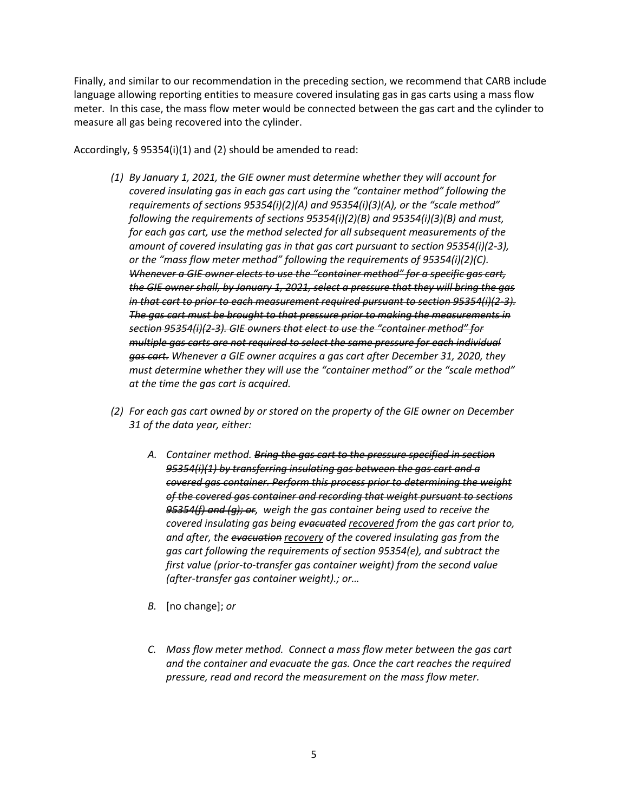Finally, and similar to our recommendation in the preceding section, we recommend that CARB include language allowing reporting entities to measure covered insulating gas in gas carts using a mass flow meter. In this case, the mass flow meter would be connected between the gas cart and the cylinder to measure all gas being recovered into the cylinder.

Accordingly, § 95354(i)(1) and (2) should be amended to read:

- *(1) By January 1, 2021, the GIE owner must determine whether they will account for covered insulating gas in each gas cart using the "container method" following the requirements of sections 95354(i)(2)(A) and 95354(i)(3)(A), or the "scale method" following the requirements of sections 95354(i)(2)(B) and 95354(i)(3)(B) and must, for each gas cart, use the method selected for all subsequent measurements of the amount of covered insulating gas in that gas cart pursuant to section 95354(i)(2-3), or the "mass flow meter method" following the requirements of 95354(i)(2)(C). Whenever a GIE owner elects to use the "container method" for a specific gas cart, the GIE owner shall, by January 1, 2021, select a pressure that they will bring the gas in that cart to prior to each measurement required pursuant to section 95354(i)(2-3). The gas cart must be brought to that pressure prior to making the measurements in section 95354(i)(2-3). GIE owners that elect to use the "container method" for multiple gas carts are not required to select the same pressure for each individual gas cart. Whenever a GIE owner acquires a gas cart after December 31, 2020, they must determine whether they will use the "container method" or the "scale method" at the time the gas cart is acquired.*
- *(2) For each gas cart owned by or stored on the property of the GIE owner on December 31 of the data year, either:*
	- *A. Container method. Bring the gas cart to the pressure specified in section 95354(i)(1) by transferring insulating gas between the gas cart and a covered gas container. Perform this process prior to determining the weight of the covered gas container and recording that weight pursuant to sections 95354(f) and (g); or, weigh the gas container being used to receive the covered insulating gas being evacuated recovered from the gas cart prior to, and after, the evacuation recovery of the covered insulating gas from the gas cart following the requirements of section 95354(e), and subtract the first value (prior-to-transfer gas container weight) from the second value (after-transfer gas container weight).; or…*
	- *B.* [no change]; *or*
	- *C. Mass flow meter method. Connect a mass flow meter between the gas cart and the container and evacuate the gas. Once the cart reaches the required pressure, read and record the measurement on the mass flow meter.*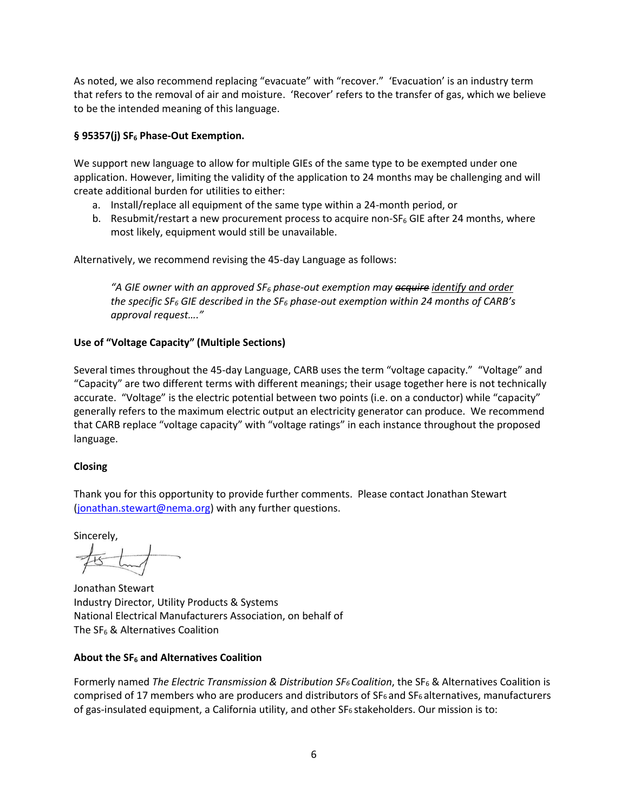As noted, we also recommend replacing "evacuate" with "recover." 'Evacuation' is an industry term that refers to the removal of air and moisture. 'Recover' refers to the transfer of gas, which we believe to be the intended meaning of this language.

# **§ 95357(j) SF<sup>6</sup> Phase-Out Exemption.**

We support new language to allow for multiple GIEs of the same type to be exempted under one application. However, limiting the validity of the application to 24 months may be challenging and will create additional burden for utilities to either:

- a. Install/replace all equipment of the same type within a 24-month period, or
- b. Resubmit/restart a new procurement process to acquire non- $SF_6$  GIE after 24 months, where most likely, equipment would still be unavailable.

Alternatively, we recommend revising the 45-day Language as follows:

*"A GIE owner with an approved SF<sup>6</sup> phase-out exemption may acquire identify and order the specific SF<sup>6</sup> GIE described in the SF<sup>6</sup> phase-out exemption within 24 months of CARB's approval request…."*

## **Use of "Voltage Capacity" (Multiple Sections)**

Several times throughout the 45-day Language, CARB uses the term "voltage capacity." "Voltage" and "Capacity" are two different terms with different meanings; their usage together here is not technically accurate. "Voltage" is the electric potential between two points (i.e. on a conductor) while "capacity" generally refers to the maximum electric output an electricity generator can produce. We recommend that CARB replace "voltage capacity" with "voltage ratings" in each instance throughout the proposed language.

### **Closing**

Thank you for this opportunity to provide further comments. Please contact Jonathan Stewart [\(jonathan.stewart@nema.org\)](mailto:jonathan.stewart@nema.org) with any further questions.

Sincerely,

Jonathan Stewart Industry Director, Utility Products & Systems National Electrical Manufacturers Association, on behalf of The SF<sup>6</sup> & Alternatives Coalition

### **About the SF<sup>6</sup> and Alternatives Coalition**

Formerly named *The Electric Transmission & Distribution SF6 Coalition*, the SF<sup>6</sup> & Alternatives Coalition is comprised of 17 members who are producers and distributors of SF6 and SF6 alternatives, manufacturers of gas-insulated equipment, a California utility, and other SF6 stakeholders. Our mission is to: